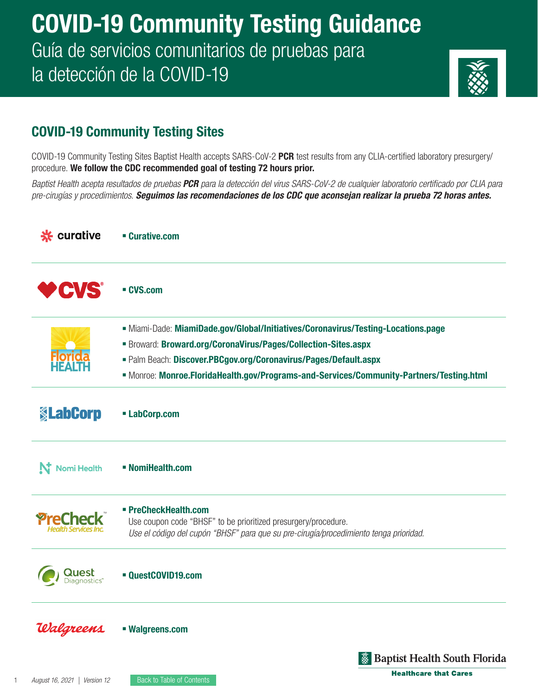# COVID-19 Community Testing Guidance Guía de servicios comunitarios de pruebas para la detección de la COVID-19



### COVID-19 Community Testing Sites

COVID-19 Community Testing Sites Baptist Health accepts SARS-CoV-2 PCR test results from any CLIA-certified laboratory presurgery/ procedure. We follow the CDC recommended goal of testing 72 hours prior.

*Baptist Health acepta resultados de pruebas PCR para la detección del virus SARS-CoV-2 de cualquier laboratorio certificado por CLIA para pre-cirugías y procedimientos. Seguimos las recomendaciones de los CDC que aconsejan realizar la prueba 72 horas antes.*